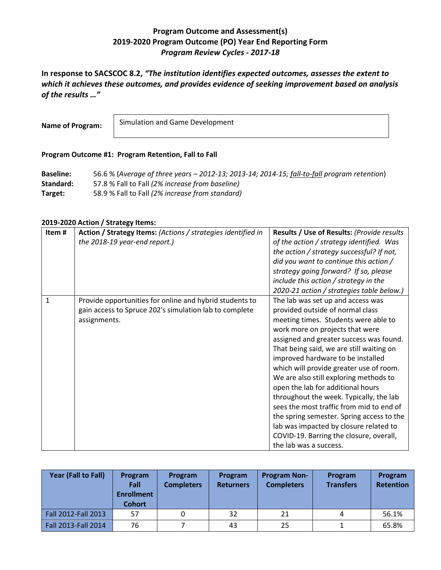## **Program Outcome and Assessment(s) 2019-2020 Program Outcome (PO) Year End Reporting Form** *Program Review Cycles - 2017-18*

**In response to SACSCOC 8.2,** *"The institution identifies expected outcomes, assesses the extent to which it achieves these outcomes, and provides evidence of seeking improvement based on analysis of the results …"*

**Name of Program:**

Simulation and Game Development

## **Program Outcome #1: Program Retention, Fall to Fall**

**Baseline:** 56.6 % (*Average of three years – 2012-13; 2013-14; 2014-15; fall-to-fall program retention*) **Standard:** 57.8 % Fall to Fall *(2% increase from baseline)* **Target:** 58.9 % Fall to Fall *(2% increase from standard)*

## **2019-2020 Action / Strategy Items:**

| Item#        | Action / Strategy Items: (Actions / strategies identified in<br>the 2018-19 year-end report.)                                     | Results / Use of Results: (Provide results<br>of the action / strategy identified. Was<br>the action / strategy successful? If not,<br>did you want to continue this action /<br>strategy going forward? If so, please<br>include this action / strategy in the<br>2020-21 action / strategies table below.)                                                                                                                                                                                                                                                                                                                                              |
|--------------|-----------------------------------------------------------------------------------------------------------------------------------|-----------------------------------------------------------------------------------------------------------------------------------------------------------------------------------------------------------------------------------------------------------------------------------------------------------------------------------------------------------------------------------------------------------------------------------------------------------------------------------------------------------------------------------------------------------------------------------------------------------------------------------------------------------|
| $\mathbf{1}$ | Provide opportunities for online and hybrid students to<br>gain access to Spruce 202's simulation lab to complete<br>assignments. | The lab was set up and access was<br>provided outside of normal class<br>meeting times. Students were able to<br>work more on projects that were<br>assigned and greater success was found.<br>That being said, we are still waiting on<br>improved hardware to be installed<br>which will provide greater use of room.<br>We are also still exploring methods to<br>open the lab for additional hours<br>throughout the week. Typically, the lab<br>sees the most traffic from mid to end of<br>the spring semester. Spring access to the<br>lab was impacted by closure related to<br>COVID-19. Barring the closure, overall,<br>the lab was a success. |

| Year (Fall to Fall) | <b>Program</b><br>Fall<br><b>Enrollment</b><br><b>Cohort</b> | Program<br><b>Completers</b> | Program<br><b>Returners</b> | <b>Program Non-</b><br><b>Completers</b> | Program<br><b>Transfers</b> | Program<br><b>Retention</b> |
|---------------------|--------------------------------------------------------------|------------------------------|-----------------------------|------------------------------------------|-----------------------------|-----------------------------|
| Fall 2012-Fall 2013 | 57                                                           |                              | 32                          | 21                                       | 4                           | 56.1%                       |
| Fall 2013-Fall 2014 | 76                                                           |                              | 43                          | 25                                       |                             | 65.8%                       |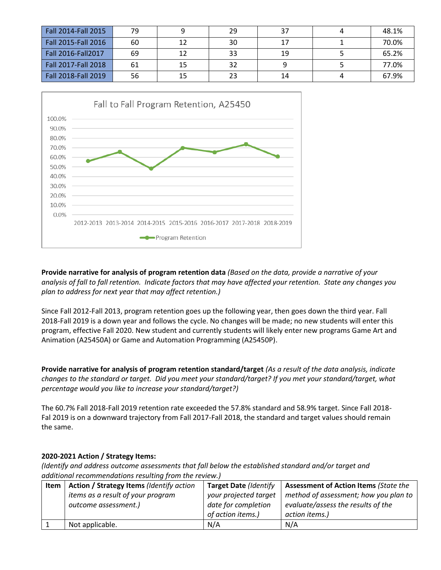| Fall 2014-Fall 2015 | 79 |    | 29 | 37 | 48.1% |
|---------------------|----|----|----|----|-------|
| Fall 2015-Fall 2016 | 60 | 12 | 30 |    | 70.0% |
| Fall 2016-Fall 2017 | 69 | 12 | 33 | 19 | 65.2% |
| Fall 2017-Fall 2018 | 61 | 15 | 32 |    | 77.0% |
| Fall 2018-Fall 2019 | 56 | 15 | 23 | 14 | 67.9% |



**Provide narrative for analysis of program retention data** *(Based on the data, provide a narrative of your analysis of fall to fall retention. Indicate factors that may have affected your retention. State any changes you plan to address for next year that may affect retention.)*

Since Fall 2012-Fall 2013, program retention goes up the following year, then goes down the third year. Fall 2018-Fall 2019 is a down year and follows the cycle. No changes will be made; no new students will enter this program, effective Fall 2020. New student and currently students will likely enter new programs Game Art and Animation (A25450A) or Game and Automation Programming (A25450P).

**Provide narrative for analysis of program retention standard/target** *(As a result of the data analysis, indicate changes to the standard or target. Did you meet your standard/target? If you met your standard/target, what percentage would you like to increase your standard/target?)*

The 60.7% Fall 2018-Fall 2019 retention rate exceeded the 57.8% standard and 58.9% target. Since Fall 2018- Fal 2019 is on a downward trajectory from Fall 2017-Fall 2018, the standard and target values should remain the same.

## **2020-2021 Action / Strategy Items:**

*(Identify and address outcome assessments that fall below the established standard and/or target and additional recommendations resulting from the review.)*

| Item | Action / Strategy Items (Identify action | <b>Target Date (Identify</b> | <b>Assessment of Action Items (State the</b> |
|------|------------------------------------------|------------------------------|----------------------------------------------|
|      | items as a result of your program        | your projected target        | method of assessment; how you plan to        |
|      | outcome assessment.)                     | date for completion          | evaluate/assess the results of the           |
|      |                                          | of action items.)            | action items.)                               |
|      | Not applicable.                          | N/A                          | N/A                                          |